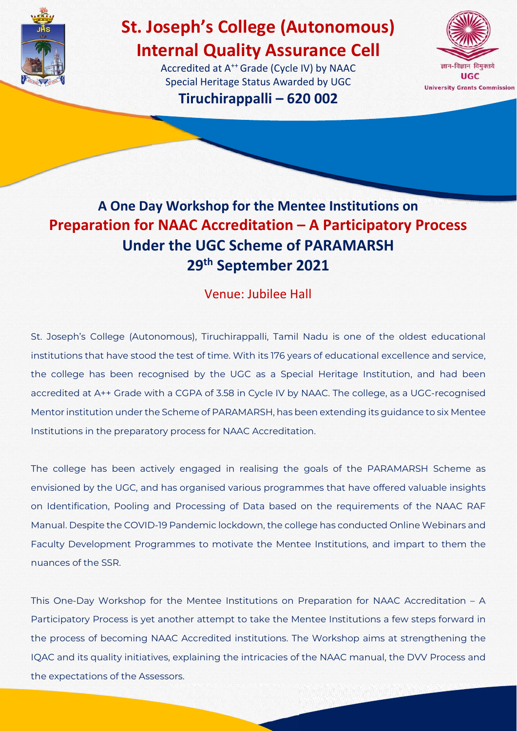

# **St. Joseph's College (Autonomous) Internal Quality Assurance Cell**

Accredited at A<sup>++</sup> Grade (Cycle IV) by NAAC Special Heritage Status Awarded by UGC **Tiruchirappalli – 620 002**



## **A One Day Workshop for the Mentee Institutions on Preparation for NAAC Accreditation – A Participatory Process Under the UGC Scheme of PARAMARSH 29th September 2021**

### Venue: Jubilee Hall

St. Joseph's College (Autonomous), Tiruchirappalli, Tamil Nadu is one of the oldest educational institutions that have stood the test of time. With its 176 years of educational excellence and service, the college has been recognised by the UGC as a Special Heritage Institution, and had been accredited at A++ Grade with a CGPA of 3.58 in Cycle IV by NAAC. The college, as a UGC-recognised Mentor institution under the Scheme of PARAMARSH, has been extending its guidance to six Mentee Institutions in the preparatory process for NAAC Accreditation.

The college has been actively engaged in realising the goals of the PARAMARSH Scheme as envisioned by the UGC, and has organised various programmes that have offered valuable insights on Identification, Pooling and Processing of Data based on the requirements of the NAAC RAF Manual. Despite the COVID-19 Pandemic lockdown, the college has conducted Online Webinars and Faculty Development Programmes to motivate the Mentee Institutions, and impart to them the nuances of the SSR.

This One-Day Workshop for the Mentee Institutions on Preparation for NAAC Accreditation – A Participatory Process is yet another attempt to take the Mentee Institutions a few steps forward in the process of becoming NAAC Accredited institutions. The Workshop aims at strengthening the IQAC and its quality initiatives, explaining the intricacies of the NAAC manual, the DVV Process and the expectations of the Assessors.